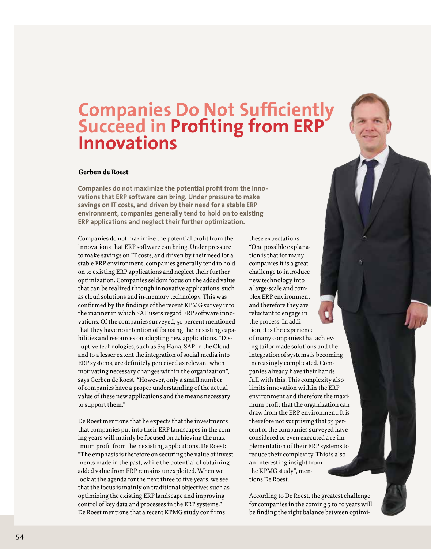## **Companies Do Not Sufficiently Succeed in Profiting from ERP Innovations**

## **Gerben de Roest**

**Companies do not maximize the potential profit from the innovations that ERP software can bring. Under pressure to make savings on IT costs, and driven by their need for a stable ERP environment, companies generally tend to hold on to existing ERP applications and neglect their further optimization.**

Companies do not maximize the potential profit from the innovations that ERP software can bring. Under pressure to make savings on IT costs, and driven by their need for a stable ERP environment, companies generally tend to hold on to existing ERP applications and neglect their further optimization. Companies seldom focus on the added value that can be realized through innovative applications, such as cloud solutions and in-memory technology. This was confirmed by the findings of the recent KPMG survey into the manner in which SAP users regard ERP software innovations. Of the companies surveyed, 50 percent mentioned that they have no intention of focusing their existing capabilities and resources on adopting new applications. "Disruptive technologies, such as S/4 Hana, SAP in the Cloud and to a lesser extent the integration of social media into ERP systems, are definitely perceived as relevant when motivating necessary changes within the organization", says Gerben de Roest. "However, only a small number of companies have a proper understanding of the actual value of these new applications and the means necessary to support them."

De Roest mentions that he expects that the investments that companies put into their ERP landscapes in the coming years will mainly be focused on achieving the maximum profit from their existing applications. De Roest: "The emphasis is therefore on securing the value of investments made in the past, while the potential of obtaining added value from ERP remains unexploited. When we look at the agenda for the next three to five years, we see that the focus is mainly on traditional objectives such as optimizing the existing ERP landscape and improving control of key data and processes in the ERP systems." De Roest mentions that a recent KPMG study confirms

tion is that for many companies it is a great challenge to introduce new technology into a large-scale and complex ERP environment and therefore they are reluctant to engage in the process. In addition, it is the experience of many companies that achieving tailor made solutions and the integration of systems is becoming increasingly complicated. Companies already have their hands full with this. This complexity also limits innovation within the ERP environment and therefore the maximum profit that the organization can draw from the ERP environment. It is therefore not surprising that 75 percent of the companies surveyed have considered or even executed a re-implementation of their ERP systems to reduce their complexity. This is also an interesting insight from the KPMG study", mentions De Roest.

these expectations. "One possible explana-

According to De Roest, the greatest challenge for companies in the coming 5 to 10 years will be finding the right balance between optimi